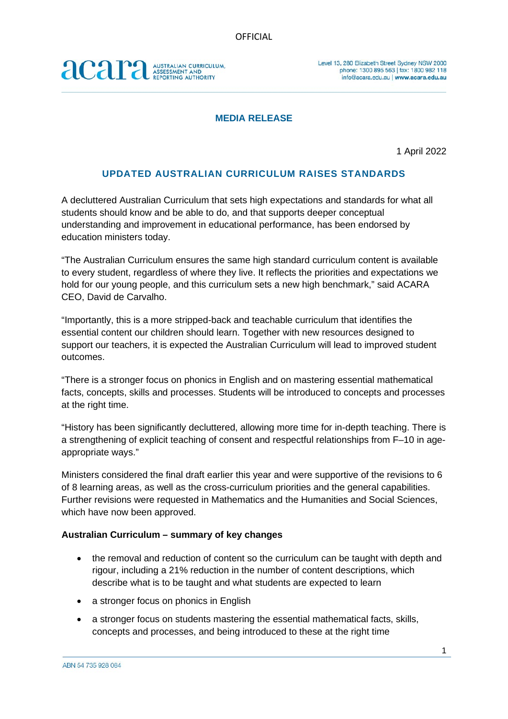# acara AUSTRALIAN CURRICULUM,<br>ASSESSMENT AND<br>REPORTING AUTHORITY

### **MEDIA RELEASE**

1 April 2022

## **UPDATED AUSTRALIAN CURRICULUM RAISES STANDARDS**

A decluttered Australian Curriculum that sets high expectations and standards for what all students should know and be able to do, and that supports deeper conceptual understanding and improvement in educational performance, has been endorsed by education ministers today.

"The Australian Curriculum ensures the same high standard curriculum content is available to every student, regardless of where they live. It reflects the priorities and expectations we hold for our young people, and this curriculum sets a new high benchmark," said ACARA CEO, David de Carvalho.

"Importantly, this is a more stripped-back and teachable curriculum that identifies the essential content our children should learn. Together with new resources designed to support our teachers, it is expected the Australian Curriculum will lead to improved student outcomes.

"There is a stronger focus on phonics in English and on mastering essential mathematical facts, concepts, skills and processes. Students will be introduced to concepts and processes at the right time.

"History has been significantly decluttered, allowing more time for in-depth teaching. There is a strengthening of explicit teaching of consent and respectful relationships from F–10 in ageappropriate ways."

Ministers considered the final draft earlier this year and were supportive of the revisions to 6 of 8 learning areas, as well as the cross-curriculum priorities and the general capabilities. Further revisions were requested in Mathematics and the Humanities and Social Sciences, which have now been approved.

### **Australian Curriculum – summary of key changes**

- the removal and reduction of content so the curriculum can be taught with depth and rigour, including a 21% reduction in the number of content descriptions, which describe what is to be taught and what students are expected to learn
- a stronger focus on phonics in English
- a stronger focus on students mastering the essential mathematical facts, skills, concepts and processes, and being introduced to these at the right time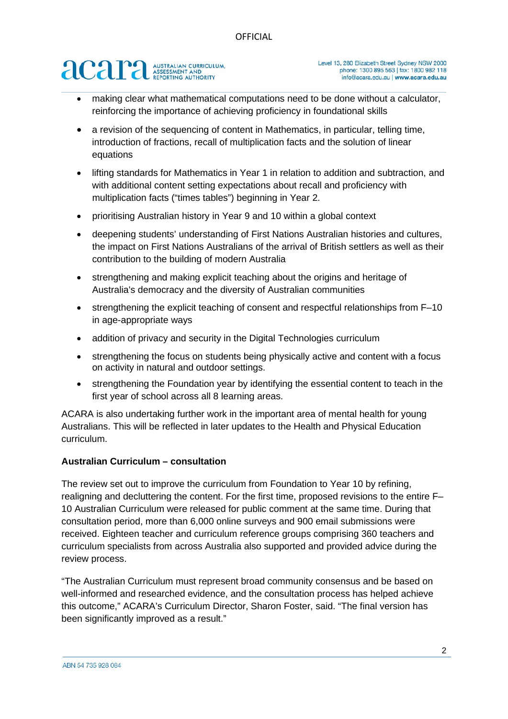# **acar ANSESSMENT AND ASSESSMENT AND**

- making clear what mathematical computations need to be done without a calculator, reinforcing the importance of achieving proficiency in foundational skills
- a revision of the sequencing of content in Mathematics, in particular, telling time, introduction of fractions, recall of multiplication facts and the solution of linear equations
- lifting standards for Mathematics in Year 1 in relation to addition and subtraction, and with additional content setting expectations about recall and proficiency with multiplication facts ("times tables") beginning in Year 2.
- prioritising Australian history in Year 9 and 10 within a global context
- deepening students' understanding of First Nations Australian histories and cultures, the impact on First Nations Australians of the arrival of British settlers as well as their contribution to the building of modern Australia
- strengthening and making explicit teaching about the origins and heritage of Australia's democracy and the diversity of Australian communities
- strengthening the explicit teaching of consent and respectful relationships from F-10 in age-appropriate ways
- addition of privacy and security in the Digital Technologies curriculum
- strengthening the focus on students being physically active and content with a focus on activity in natural and outdoor settings.
- strengthening the Foundation year by identifying the essential content to teach in the first year of school across all 8 learning areas.

ACARA is also undertaking further work in the important area of mental health for young Australians. This will be reflected in later updates to the Health and Physical Education curriculum.

### **Australian Curriculum – consultation**

The review set out to improve the curriculum from Foundation to Year 10 by refining, realigning and decluttering the content. For the first time, proposed revisions to the entire F– 10 Australian Curriculum were released for public comment at the same time. During that consultation period, more than 6,000 online surveys and 900 email submissions were received. Eighteen teacher and curriculum reference groups comprising 360 teachers and curriculum specialists from across Australia also supported and provided advice during the review process.

"The Australian Curriculum must represent broad community consensus and be based on well-informed and researched evidence, and the consultation process has helped achieve this outcome," ACARA's Curriculum Director, Sharon Foster, said. "The final version has been significantly improved as a result."